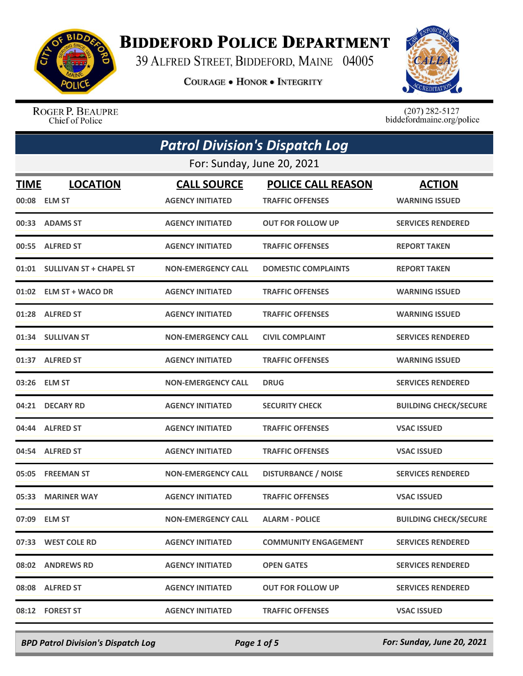

## **BIDDEFORD POLICE DEPARTMENT**

39 ALFRED STREET, BIDDEFORD, MAINE 04005

**COURAGE . HONOR . INTEGRITY** 



ROGER P. BEAUPRE Chief of Police

 $(207)$  282-5127<br>biddefordmaine.org/police

|                            | <b>Patrol Division's Dispatch Log</b> |                           |                             |                              |  |
|----------------------------|---------------------------------------|---------------------------|-----------------------------|------------------------------|--|
| For: Sunday, June 20, 2021 |                                       |                           |                             |                              |  |
| TIME                       | <b>LOCATION</b>                       | <b>CALL SOURCE</b>        | <b>POLICE CALL REASON</b>   | <b>ACTION</b>                |  |
| 00:08                      | <b>ELM ST</b>                         | <b>AGENCY INITIATED</b>   | <b>TRAFFIC OFFENSES</b>     | <b>WARNING ISSUED</b>        |  |
|                            | 00:33 ADAMS ST                        | <b>AGENCY INITIATED</b>   | <b>OUT FOR FOLLOW UP</b>    | <b>SERVICES RENDERED</b>     |  |
|                            | 00:55 ALFRED ST                       | <b>AGENCY INITIATED</b>   | <b>TRAFFIC OFFENSES</b>     | <b>REPORT TAKEN</b>          |  |
|                            | 01:01 SULLIVAN ST + CHAPEL ST         | <b>NON-EMERGENCY CALL</b> | <b>DOMESTIC COMPLAINTS</b>  | <b>REPORT TAKEN</b>          |  |
|                            | 01:02 ELM ST + WACO DR                | <b>AGENCY INITIATED</b>   | <b>TRAFFIC OFFENSES</b>     | <b>WARNING ISSUED</b>        |  |
|                            | 01:28 ALFRED ST                       | <b>AGENCY INITIATED</b>   | <b>TRAFFIC OFFENSES</b>     | <b>WARNING ISSUED</b>        |  |
|                            | 01:34 SULLIVAN ST                     | <b>NON-EMERGENCY CALL</b> | <b>CIVIL COMPLAINT</b>      | <b>SERVICES RENDERED</b>     |  |
| 01:37                      | <b>ALFRED ST</b>                      | <b>AGENCY INITIATED</b>   | <b>TRAFFIC OFFENSES</b>     | <b>WARNING ISSUED</b>        |  |
| 03:26                      | <b>ELM ST</b>                         | <b>NON-EMERGENCY CALL</b> | <b>DRUG</b>                 | <b>SERVICES RENDERED</b>     |  |
| 04:21                      | <b>DECARY RD</b>                      | <b>AGENCY INITIATED</b>   | <b>SECURITY CHECK</b>       | <b>BUILDING CHECK/SECURE</b> |  |
| 04:44                      | <b>ALFRED ST</b>                      | <b>AGENCY INITIATED</b>   | <b>TRAFFIC OFFENSES</b>     | <b>VSAC ISSUED</b>           |  |
| 04:54                      | <b>ALFRED ST</b>                      | <b>AGENCY INITIATED</b>   | <b>TRAFFIC OFFENSES</b>     | <b>VSAC ISSUED</b>           |  |
| 05:05                      | <b>FREEMAN ST</b>                     | <b>NON-EMERGENCY CALL</b> | <b>DISTURBANCE / NOISE</b>  | <b>SERVICES RENDERED</b>     |  |
| 05:33                      | <b>MARINER WAY</b>                    | <b>AGENCY INITIATED</b>   | <b>TRAFFIC OFFENSES</b>     | <b>VSAC ISSUED</b>           |  |
|                            | 07:09 ELM ST                          | <b>NON-EMERGENCY CALL</b> | <b>ALARM - POLICE</b>       | <b>BUILDING CHECK/SECURE</b> |  |
|                            | 07:33 WEST COLE RD                    | <b>AGENCY INITIATED</b>   | <b>COMMUNITY ENGAGEMENT</b> | <b>SERVICES RENDERED</b>     |  |
|                            | 08:02 ANDREWS RD                      | <b>AGENCY INITIATED</b>   | <b>OPEN GATES</b>           | <b>SERVICES RENDERED</b>     |  |
|                            | 08:08 ALFRED ST                       | <b>AGENCY INITIATED</b>   | <b>OUT FOR FOLLOW UP</b>    | <b>SERVICES RENDERED</b>     |  |
|                            | 08:12 FOREST ST                       | <b>AGENCY INITIATED</b>   | <b>TRAFFIC OFFENSES</b>     | <b>VSAC ISSUED</b>           |  |

*BPD Patrol Division's Dispatch Log Page 1 of 5 For: Sunday, June 20, 2021*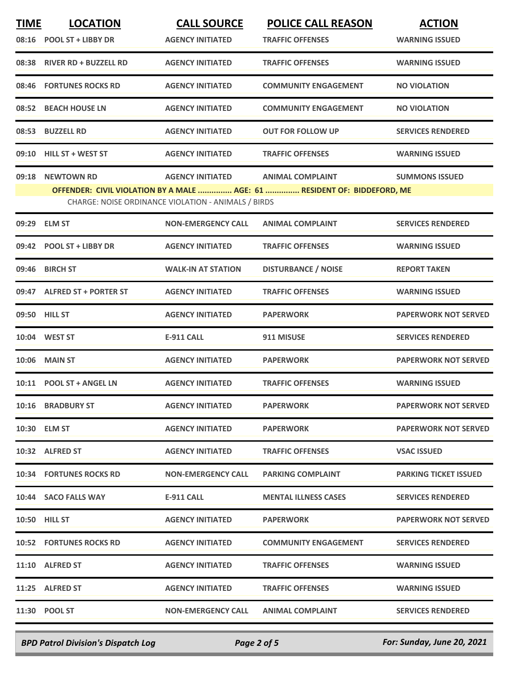| <b>TIME</b> | <b>LOCATION</b>                | <b>CALL SOURCE</b>                                  | <b>POLICE CALL REASON</b>                                                | <b>ACTION</b>                |
|-------------|--------------------------------|-----------------------------------------------------|--------------------------------------------------------------------------|------------------------------|
| 08:16       | <b>POOL ST + LIBBY DR</b>      | <b>AGENCY INITIATED</b>                             | <b>TRAFFIC OFFENSES</b>                                                  | <b>WARNING ISSUED</b>        |
|             | 08:38 RIVER RD + BUZZELL RD    | <b>AGENCY INITIATED</b>                             | <b>TRAFFIC OFFENSES</b>                                                  | <b>WARNING ISSUED</b>        |
|             | 08:46 FORTUNES ROCKS RD        | <b>AGENCY INITIATED</b>                             | <b>COMMUNITY ENGAGEMENT</b>                                              | <b>NO VIOLATION</b>          |
| 08:52       | <b>BEACH HOUSE LN</b>          | <b>AGENCY INITIATED</b>                             | <b>COMMUNITY ENGAGEMENT</b>                                              | <b>NO VIOLATION</b>          |
| 08:53       | <b>BUZZELL RD</b>              | <b>AGENCY INITIATED</b>                             | <b>OUT FOR FOLLOW UP</b>                                                 | <b>SERVICES RENDERED</b>     |
| 09:10       | <b>HILL ST + WEST ST</b>       | <b>AGENCY INITIATED</b>                             | <b>TRAFFIC OFFENSES</b>                                                  | <b>WARNING ISSUED</b>        |
| 09:18       | <b>NEWTOWN RD</b>              | <b>AGENCY INITIATED</b>                             | <b>ANIMAL COMPLAINT</b>                                                  | <b>SUMMONS ISSUED</b>        |
|             |                                | CHARGE: NOISE ORDINANCE VIOLATION - ANIMALS / BIRDS | OFFENDER: CIVIL VIOLATION BY A MALE  AGE: 61  RESIDENT OF: BIDDEFORD, ME |                              |
| 09:29       | <b>ELM ST</b>                  | <b>NON-EMERGENCY CALL</b>                           | <b>ANIMAL COMPLAINT</b>                                                  | <b>SERVICES RENDERED</b>     |
|             | 09:42 POOL ST + LIBBY DR       | <b>AGENCY INITIATED</b>                             | <b>TRAFFIC OFFENSES</b>                                                  | <b>WARNING ISSUED</b>        |
| 09:46       | <b>BIRCH ST</b>                | <b>WALK-IN AT STATION</b>                           | <b>DISTURBANCE / NOISE</b>                                               | <b>REPORT TAKEN</b>          |
| 09:47       | <b>ALFRED ST + PORTER ST</b>   | <b>AGENCY INITIATED</b>                             | <b>TRAFFIC OFFENSES</b>                                                  | <b>WARNING ISSUED</b>        |
| 09:50       | <b>HILL ST</b>                 | <b>AGENCY INITIATED</b>                             | <b>PAPERWORK</b>                                                         | <b>PAPERWORK NOT SERVED</b>  |
|             | 10:04 WEST ST                  | <b>E-911 CALL</b>                                   | 911 MISUSE                                                               | <b>SERVICES RENDERED</b>     |
| 10:06       | <b>MAIN ST</b>                 | <b>AGENCY INITIATED</b>                             | <b>PAPERWORK</b>                                                         | <b>PAPERWORK NOT SERVED</b>  |
|             | 10:11 POOL ST + ANGEL LN       | <b>AGENCY INITIATED</b>                             | <b>TRAFFIC OFFENSES</b>                                                  | <b>WARNING ISSUED</b>        |
|             | 10:16 BRADBURY ST              | <b>AGENCY INITIATED</b>                             | <b>PAPERWORK</b>                                                         | <b>PAPERWORK NOT SERVED</b>  |
|             | 10:30 ELM ST                   | <b>AGENCY INITIATED</b>                             | <b>PAPERWORK</b>                                                         | <b>PAPERWORK NOT SERVED</b>  |
|             | 10:32 ALFRED ST                | <b>AGENCY INITIATED</b>                             | <b>TRAFFIC OFFENSES</b>                                                  | <b>VSAC ISSUED</b>           |
|             | <b>10:34 FORTUNES ROCKS RD</b> | <b>NON-EMERGENCY CALL</b>                           | <b>PARKING COMPLAINT</b>                                                 | <b>PARKING TICKET ISSUED</b> |
|             | 10:44 SACO FALLS WAY           | E-911 CALL                                          | <b>MENTAL ILLNESS CASES</b>                                              | <b>SERVICES RENDERED</b>     |
|             | <b>10:50 HILL ST</b>           | <b>AGENCY INITIATED</b>                             | <b>PAPERWORK</b>                                                         | <b>PAPERWORK NOT SERVED</b>  |
|             | <b>10:52 FORTUNES ROCKS RD</b> | <b>AGENCY INITIATED</b>                             | <b>COMMUNITY ENGAGEMENT</b>                                              | <b>SERVICES RENDERED</b>     |
|             | 11:10 ALFRED ST                | <b>AGENCY INITIATED</b>                             | <b>TRAFFIC OFFENSES</b>                                                  | <b>WARNING ISSUED</b>        |
|             | 11:25 ALFRED ST                | <b>AGENCY INITIATED</b>                             | <b>TRAFFIC OFFENSES</b>                                                  | <b>WARNING ISSUED</b>        |
|             | 11:30 POOL ST                  | <b>NON-EMERGENCY CALL</b>                           | <b>ANIMAL COMPLAINT</b>                                                  | <b>SERVICES RENDERED</b>     |
|             |                                |                                                     |                                                                          |                              |

*BPD Patrol Division's Dispatch Log Page 2 of 5 For: Sunday, June 20, 2021*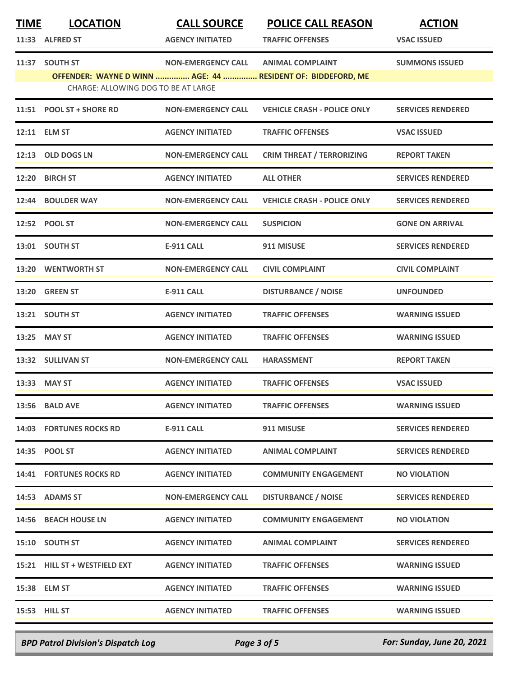| <b>TIME</b> | <b>LOCATION</b>                     | <b>CALL SOURCE</b>        | <b>POLICE CALL REASON</b>                                   | <b>ACTION</b>            |
|-------------|-------------------------------------|---------------------------|-------------------------------------------------------------|--------------------------|
|             | 11:33 ALFRED ST                     | <b>AGENCY INITIATED</b>   | <b>TRAFFIC OFFENSES</b>                                     | <b>VSAC ISSUED</b>       |
|             | 11:37 SOUTH ST                      | <b>NON-EMERGENCY CALL</b> | <b>ANIMAL COMPLAINT</b>                                     | <b>SUMMONS ISSUED</b>    |
|             | CHARGE: ALLOWING DOG TO BE AT LARGE |                           | OFFENDER: WAYNE D WINN  AGE: 44  RESIDENT OF: BIDDEFORD, ME |                          |
|             | 11:51 POOL ST + SHORE RD            | <b>NON-EMERGENCY CALL</b> | <b>VEHICLE CRASH - POLICE ONLY</b>                          | <b>SERVICES RENDERED</b> |
|             | 12:11 ELM ST                        | <b>AGENCY INITIATED</b>   | <b>TRAFFIC OFFENSES</b>                                     | <b>VSAC ISSUED</b>       |
|             | 12:13 OLD DOGS LN                   | <b>NON-EMERGENCY CALL</b> | <b>CRIM THREAT / TERRORIZING</b>                            | <b>REPORT TAKEN</b>      |
|             | 12:20 BIRCH ST                      | <b>AGENCY INITIATED</b>   | <b>ALL OTHER</b>                                            | <b>SERVICES RENDERED</b> |
| 12:44       | <b>BOULDER WAY</b>                  | <b>NON-EMERGENCY CALL</b> | <b>VEHICLE CRASH - POLICE ONLY</b>                          | <b>SERVICES RENDERED</b> |
|             | 12:52 POOL ST                       | <b>NON-EMERGENCY CALL</b> | <b>SUSPICION</b>                                            | <b>GONE ON ARRIVAL</b>   |
|             | 13:01 SOUTH ST                      | <b>E-911 CALL</b>         | 911 MISUSE                                                  | <b>SERVICES RENDERED</b> |
|             | 13:20 WENTWORTH ST                  | <b>NON-EMERGENCY CALL</b> | <b>CIVIL COMPLAINT</b>                                      | <b>CIVIL COMPLAINT</b>   |
|             | 13:20 GREEN ST                      | <b>E-911 CALL</b>         | <b>DISTURBANCE / NOISE</b>                                  | <b>UNFOUNDED</b>         |
|             | 13:21 SOUTH ST                      | <b>AGENCY INITIATED</b>   | <b>TRAFFIC OFFENSES</b>                                     | <b>WARNING ISSUED</b>    |
|             | 13:25 MAY ST                        | <b>AGENCY INITIATED</b>   | <b>TRAFFIC OFFENSES</b>                                     | <b>WARNING ISSUED</b>    |
|             | 13:32 SULLIVAN ST                   | <b>NON-EMERGENCY CALL</b> | <b>HARASSMENT</b>                                           | <b>REPORT TAKEN</b>      |
|             | 13:33 MAY ST                        | <b>AGENCY INITIATED</b>   | <b>TRAFFIC OFFENSES</b>                                     | <b>VSAC ISSUED</b>       |
|             | 13:56 BALD AVE                      | <b>AGENCY INITIATED</b>   | <b>TRAFFIC OFFENSES</b>                                     | <b>WARNING ISSUED</b>    |
|             | <b>14:03 FORTUNES ROCKS RD</b>      | <b>E-911 CALL</b>         | 911 MISUSE                                                  | <b>SERVICES RENDERED</b> |
|             | 14:35 POOL ST                       | <b>AGENCY INITIATED</b>   | <b>ANIMAL COMPLAINT</b>                                     | <b>SERVICES RENDERED</b> |
|             | 14:41 FORTUNES ROCKS RD             | <b>AGENCY INITIATED</b>   | <b>COMMUNITY ENGAGEMENT</b>                                 | <b>NO VIOLATION</b>      |
|             | 14:53 ADAMS ST                      | <b>NON-EMERGENCY CALL</b> | <b>DISTURBANCE / NOISE</b>                                  | <b>SERVICES RENDERED</b> |
|             | 14:56 BEACH HOUSE LN                | <b>AGENCY INITIATED</b>   | <b>COMMUNITY ENGAGEMENT</b>                                 | <b>NO VIOLATION</b>      |
|             | 15:10 SOUTH ST                      | <b>AGENCY INITIATED</b>   | <b>ANIMAL COMPLAINT</b>                                     | <b>SERVICES RENDERED</b> |
|             | 15:21 HILL ST + WESTFIELD EXT       | <b>AGENCY INITIATED</b>   | <b>TRAFFIC OFFENSES</b>                                     | <b>WARNING ISSUED</b>    |
|             | 15:38 ELM ST                        | <b>AGENCY INITIATED</b>   | <b>TRAFFIC OFFENSES</b>                                     | <b>WARNING ISSUED</b>    |
|             | 15:53 HILL ST                       | <b>AGENCY INITIATED</b>   | <b>TRAFFIC OFFENSES</b>                                     | <b>WARNING ISSUED</b>    |
|             |                                     |                           |                                                             |                          |

*BPD Patrol Division's Dispatch Log Page 3 of 5 For: Sunday, June 20, 2021*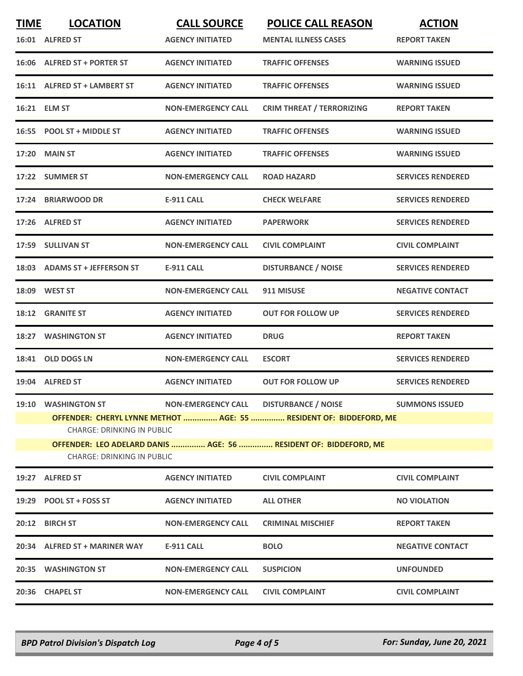| <b>TIME</b> | <b>LOCATION</b>                                                                                         | <b>CALL SOURCE</b>        | <b>POLICE CALL REASON</b>        | <b>ACTION</b>            |  |
|-------------|---------------------------------------------------------------------------------------------------------|---------------------------|----------------------------------|--------------------------|--|
|             | 16:01 ALFRED ST                                                                                         | <b>AGENCY INITIATED</b>   | <b>MENTAL ILLNESS CASES</b>      | <b>REPORT TAKEN</b>      |  |
|             | 16:06 ALFRED ST + PORTER ST                                                                             | <b>AGENCY INITIATED</b>   | <b>TRAFFIC OFFENSES</b>          | <b>WARNING ISSUED</b>    |  |
|             | 16:11 ALFRED ST + LAMBERT ST                                                                            | <b>AGENCY INITIATED</b>   | <b>TRAFFIC OFFENSES</b>          | <b>WARNING ISSUED</b>    |  |
|             | 16:21 ELM ST                                                                                            | <b>NON-EMERGENCY CALL</b> | <b>CRIM THREAT / TERRORIZING</b> | <b>REPORT TAKEN</b>      |  |
|             | 16:55 POOL ST + MIDDLE ST                                                                               | <b>AGENCY INITIATED</b>   | <b>TRAFFIC OFFENSES</b>          | <b>WARNING ISSUED</b>    |  |
|             | 17:20 MAIN ST                                                                                           | <b>AGENCY INITIATED</b>   | <b>TRAFFIC OFFENSES</b>          | <b>WARNING ISSUED</b>    |  |
|             | 17:22 SUMMER ST                                                                                         | <b>NON-EMERGENCY CALL</b> | <b>ROAD HAZARD</b>               | <b>SERVICES RENDERED</b> |  |
|             | 17:24 BRIARWOOD DR                                                                                      | <b>E-911 CALL</b>         | <b>CHECK WELFARE</b>             | <b>SERVICES RENDERED</b> |  |
|             | 17:26 ALFRED ST                                                                                         | <b>AGENCY INITIATED</b>   | <b>PAPERWORK</b>                 | <b>SERVICES RENDERED</b> |  |
|             | 17:59 SULLIVAN ST                                                                                       | <b>NON-EMERGENCY CALL</b> | <b>CIVIL COMPLAINT</b>           | <b>CIVIL COMPLAINT</b>   |  |
|             | 18:03 ADAMS ST + JEFFERSON ST                                                                           | <b>E-911 CALL</b>         | <b>DISTURBANCE / NOISE</b>       | <b>SERVICES RENDERED</b> |  |
|             | 18:09 WEST ST                                                                                           | <b>NON-EMERGENCY CALL</b> | 911 MISUSE                       | <b>NEGATIVE CONTACT</b>  |  |
| 18:12       | <b>GRANITE ST</b>                                                                                       | <b>AGENCY INITIATED</b>   | <b>OUT FOR FOLLOW UP</b>         | <b>SERVICES RENDERED</b> |  |
|             | 18:27 WASHINGTON ST                                                                                     | <b>AGENCY INITIATED</b>   | <b>DRUG</b>                      | <b>REPORT TAKEN</b>      |  |
|             | 18:41 OLD DOGS LN                                                                                       | <b>NON-EMERGENCY CALL</b> | <b>ESCORT</b>                    | <b>SERVICES RENDERED</b> |  |
|             | 19:04 ALFRED ST                                                                                         | <b>AGENCY INITIATED</b>   | <b>OUT FOR FOLLOW UP</b>         | <b>SERVICES RENDERED</b> |  |
| 19:10       | <b>WASHINGTON ST</b>                                                                                    | <b>NON-EMERGENCY CALL</b> | <b>DISTURBANCE / NOISE</b>       | <b>SUMMONS ISSUED</b>    |  |
|             | OFFENDER: CHERYL LYNNE METHOT  AGE: 55  RESIDENT OF: BIDDEFORD, ME<br><b>CHARGE: DRINKING IN PUBLIC</b> |                           |                                  |                          |  |
|             | OFFENDER: LEO ADELARD DANIS  AGE: 56  RESIDENT OF: BIDDEFORD, ME                                        |                           |                                  |                          |  |
|             | <b>CHARGE: DRINKING IN PUBLIC</b>                                                                       |                           |                                  |                          |  |
| 19:27       | <b>ALFRED ST</b>                                                                                        | <b>AGENCY INITIATED</b>   | <b>CIVIL COMPLAINT</b>           | <b>CIVIL COMPLAINT</b>   |  |
|             | 19:29 POOL ST + FOSS ST                                                                                 | <b>AGENCY INITIATED</b>   | <b>ALL OTHER</b>                 | <b>NO VIOLATION</b>      |  |
| 20:12       | <b>BIRCH ST</b>                                                                                         | <b>NON-EMERGENCY CALL</b> | <b>CRIMINAL MISCHIEF</b>         | <b>REPORT TAKEN</b>      |  |
|             | 20:34 ALFRED ST + MARINER WAY                                                                           | <b>E-911 CALL</b>         | <b>BOLO</b>                      | <b>NEGATIVE CONTACT</b>  |  |
|             | 20:35 WASHINGTON ST                                                                                     | <b>NON-EMERGENCY CALL</b> | <b>SUSPICION</b>                 | <b>UNFOUNDED</b>         |  |
|             | 20:36 CHAPEL ST                                                                                         | <b>NON-EMERGENCY CALL</b> | <b>CIVIL COMPLAINT</b>           | <b>CIVIL COMPLAINT</b>   |  |
|             |                                                                                                         |                           |                                  |                          |  |